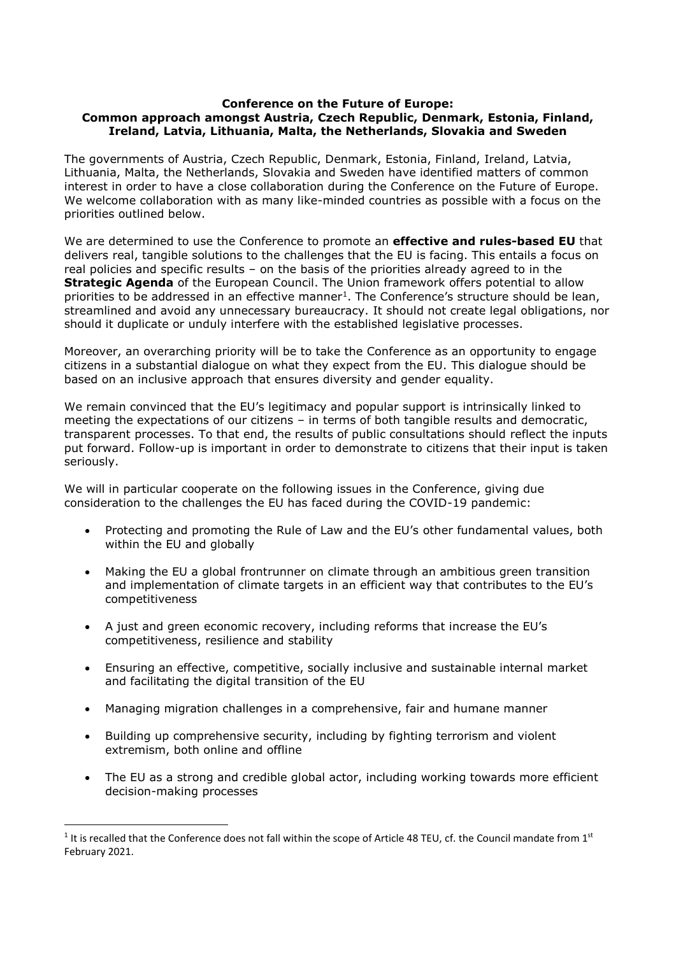## **Conference on the Future of Europe: Common approach amongst Austria, Czech Republic, Denmark, Estonia, Finland, Ireland, Latvia, Lithuania, Malta, the Netherlands, Slovakia and Sweden**

The governments of Austria, Czech Republic, Denmark, Estonia, Finland, Ireland, Latvia, Lithuania, Malta, the Netherlands, Slovakia and Sweden have identified matters of common interest in order to have a close collaboration during the Conference on the Future of Europe. We welcome collaboration with as many like-minded countries as possible with a focus on the priorities outlined below.

We are determined to use the Conference to promote an **effective and rules-based EU** that delivers real, tangible solutions to the challenges that the EU is facing. This entails a focus on real policies and specific results – on the basis of the priorities already agreed to in the **Strategic Agenda** of the European Council. The Union framework offers potential to allow priorities to be addressed in an effective manner<sup>1</sup>. The Conference's structure should be lean, streamlined and avoid any unnecessary bureaucracy. It should not create legal obligations, nor should it duplicate or unduly interfere with the established legislative processes.

Moreover, an overarching priority will be to take the Conference as an opportunity to engage citizens in a substantial dialogue on what they expect from the EU. This dialogue should be based on an inclusive approach that ensures diversity and gender equality.

We remain convinced that the EU's legitimacy and popular support is intrinsically linked to meeting the expectations of our citizens – in terms of both tangible results and democratic, transparent processes. To that end, the results of public consultations should reflect the inputs put forward. Follow-up is important in order to demonstrate to citizens that their input is taken seriously.

We will in particular cooperate on the following issues in the Conference, giving due consideration to the challenges the EU has faced during the COVID-19 pandemic:

- Protecting and promoting the Rule of Law and the EU's other fundamental values, both within the EU and globally
- Making the EU a global frontrunner on climate through an ambitious green transition and implementation of climate targets in an efficient way that contributes to the EU's competitiveness
- A just and green economic recovery, including reforms that increase the EU's competitiveness, resilience and stability
- Ensuring an effective, competitive, socially inclusive and sustainable internal market and facilitating the digital transition of the EU
- Managing migration challenges in a comprehensive, fair and humane manner
- Building up comprehensive security, including by fighting terrorism and violent extremism, both online and offline
- The EU as a strong and credible global actor, including working towards more efficient decision-making processes

**.** 

 $1$  It is recalled that the Conference does not fall within the scope of Article 48 TEU, cf. the Council mandate from  $1^{st}$ February 2021.